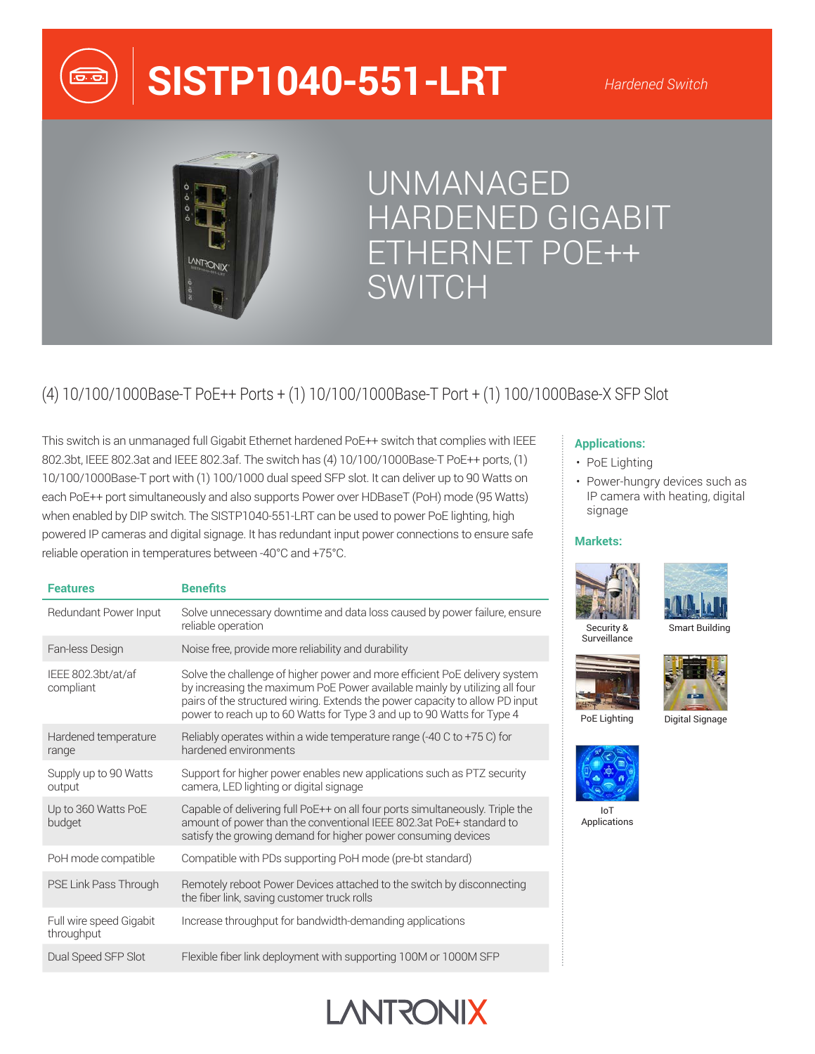

# **SISTP1040-551-LRT**



# UNMANAGED HARDENED GIGABIT ETHERNET POE++ SWITCH

# (4) 10/100/1000Base-T PoE++ Ports + (1) 10/100/1000Base-T Port + (1) 100/1000Base-X SFP Slot

This switch is an unmanaged full Gigabit Ethernet hardened PoE++ switch that complies with IEEE 802.3bt, IEEE 802.3at and IEEE 802.3af. The switch has (4) 10/100/1000Base-T PoE++ ports, (1) 10/100/1000Base-T port with (1) 100/1000 dual speed SFP slot. It can deliver up to 90 Watts on each PoE++ port simultaneously and also supports Power over HDBaseT (PoH) mode (95 Watts) when enabled by DIP switch. The SISTP1040-551-LRT can be used to power PoE lighting, high powered IP cameras and digital signage. It has redundant input power connections to ensure safe reliable operation in temperatures between -40°C and +75°C.

| <b>Features</b>                       | <b>Benefits</b>                                                                                                                                                                                                                                                                                                    |
|---------------------------------------|--------------------------------------------------------------------------------------------------------------------------------------------------------------------------------------------------------------------------------------------------------------------------------------------------------------------|
| Redundant Power Input                 | Solve unnecessary downtime and data loss caused by power failure, ensure<br>reliable operation                                                                                                                                                                                                                     |
| Fan-less Design                       | Noise free, provide more reliability and durability                                                                                                                                                                                                                                                                |
| IEEE 802.3bt/at/af<br>compliant       | Solve the challenge of higher power and more efficient PoE delivery system<br>by increasing the maximum PoE Power available mainly by utilizing all four<br>pairs of the structured wiring. Extends the power capacity to allow PD input<br>power to reach up to 60 Watts for Type 3 and up to 90 Watts for Type 4 |
| Hardened temperature<br>range         | Reliably operates within a wide temperature range $(-40 \text{ C to } +75 \text{ C})$ for<br>hardened environments                                                                                                                                                                                                 |
| Supply up to 90 Watts<br>output       | Support for higher power enables new applications such as PTZ security<br>camera, LED lighting or digital signage                                                                                                                                                                                                  |
| Up to 360 Watts PoE<br>budget         | Capable of delivering full PoE++ on all four ports simultaneously. Triple the<br>amount of power than the conventional IEEE 802.3at PoE+ standard to<br>satisfy the growing demand for higher power consuming devices                                                                                              |
| PoH mode compatible                   | Compatible with PDs supporting PoH mode (pre-bt standard)                                                                                                                                                                                                                                                          |
| PSE Link Pass Through                 | Remotely reboot Power Devices attached to the switch by disconnecting<br>the fiber link, saving customer truck rolls                                                                                                                                                                                               |
| Full wire speed Gigabit<br>throughput | Increase throughput for bandwidth-demanding applications                                                                                                                                                                                                                                                           |
| Dual Speed SFP Slot                   | Flexible fiber link deployment with supporting 100M or 1000M SFP                                                                                                                                                                                                                                                   |

# **Applications:**

- PoE Lighting
- Power-hungry devices such as IP camera with heating, digital signage

### **Markets:**



**Surveillance** 



Smart Building



PoE Lighting

Digital Signage



IoT Applications